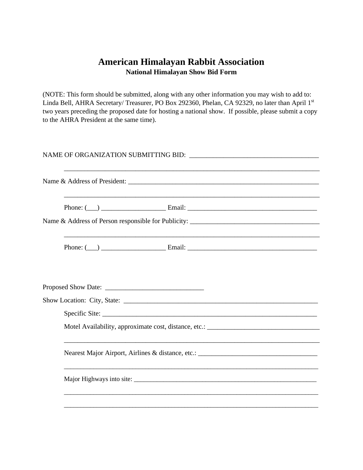## **American Himalayan Rabbit Association National Himalayan Show Bid Form**

(NOTE: This form should be submitted, along with any other information you may wish to add to: Linda Bell, AHRA Secretary/ Treasurer, PO Box 292360, Phelan, CA 92329, no later than April 1st two years preceding the proposed date for hosting a national show. If possible, please submit a copy to the AHRA President at the same time).